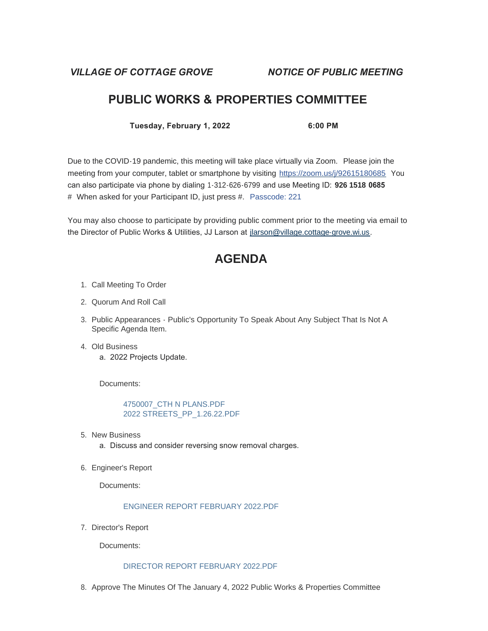*VILLAGE OF COTTAGE GROVE NOTICE OF PUBLIC MEETING*

## **PUBLIC WORKS & PROPERTIES COMMITTEE**

**Tuesday, February 1, 2022 6:00 PM**

Due to the COVID-19 pandemic, this meeting will take place virtually via Zoom. Please join the meeting from your computer, tablet or smartphone by visiting <https://zoom.us/j/92615180685> You can also participate via phone by dialing 1-312-626-6799 and use Meeting ID: **926 1518 0685** # When asked for your Participant ID, just press #. Passcode: 221

You may also choose to participate by providing public comment prior to the meeting via email to the Director of Public Works & Utilities, JJ Larson at [jlarson@village.cottage-grove.wi.us](mailto:jlarson@village.cottage-grove.wi.us).

# **AGENDA**

- 1. Call Meeting To Order
- 2. Quorum And Roll Call
- 3. Public Appearances Public's Opportunity To Speak About Any Subject That Is Not A Specific Agenda Item.
- Old Business 4. a. 2022 Projects Update.

Documents:

[4750007\\_CTH N PLANS.PDF](https://www.vi.cottagegrove.wi.gov/AgendaCenter/ViewFile/Item/9401?fileID=18474) [2022 STREETS\\_PP\\_1.26.22.PDF](https://www.vi.cottagegrove.wi.gov/AgendaCenter/ViewFile/Item/9401?fileID=18475)

- 5. New Business
	- a. Discuss and consider reversing snow removal charges.
- 6. Engineer's Report

Documents:

### [ENGINEER REPORT FEBRUARY 2022.PDF](https://www.vi.cottagegrove.wi.gov/AgendaCenter/ViewFile/Item/9400?fileID=18471)

7. Director's Report

Documents:

#### [DIRECTOR REPORT FEBRUARY 2022.PDF](https://www.vi.cottagegrove.wi.gov/AgendaCenter/ViewFile/Item/9399?fileID=18469)

8. Approve The Minutes Of The January 4, 2022 Public Works & Properties Committee